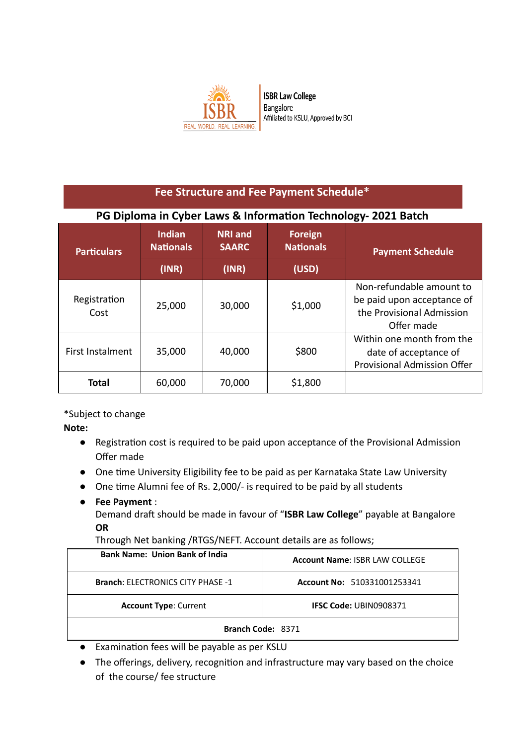

## **Fee Structure and Fee Payment Schedule\* PG** Diploma in Cyber Laws & Information Technology- 2021 Batch **Particulars Indian Nationals NRI and SAARC Foreign Nationals Payment Schedule (INR) (INR) (USD)**  Registration Cost 25,000 | 30,000 | \$1,000 Non-refundable amount to be paid upon acceptance of the Provisional Admission Offer made First Instalment |  $35,000$  |  $40,000$  | \$800 Within one month from the date of acceptance of Provisional Admission Offer **Total** | 60,000 | 70,000 | \$1,800

\*Subject to change

**Note:** 

- Registration cost is required to be paid upon acceptance of the Provisional Admission Offer made
- One time University Eligibility fee to be paid as per Karnataka State Law University
- One time Alumni fee of Rs. 2,000/- is required to be paid by all students
- **Fee Payment** :

Demand draft should be made in favour of "ISBR Law College" payable at Bangalore **OR** 

Through Net banking /RTGS/NEFT. Account details are as follows;

| <b>Bank Name: Union Bank of India</b>    | <b>Account Name: ISBR LAW COLLEGE</b> |  |
|------------------------------------------|---------------------------------------|--|
| <b>Branch: ELECTRONICS CITY PHASE -1</b> | Account No: 510331001253341           |  |
| <b>Account Type: Current</b>             | <b>IFSC Code: UBIN0908371</b>         |  |
| Branch Code: 8371                        |                                       |  |

- Examination fees will be payable as per KSLU
- The offerings, delivery, recognition and infrastructure may vary based on the choice of the course/ fee structure